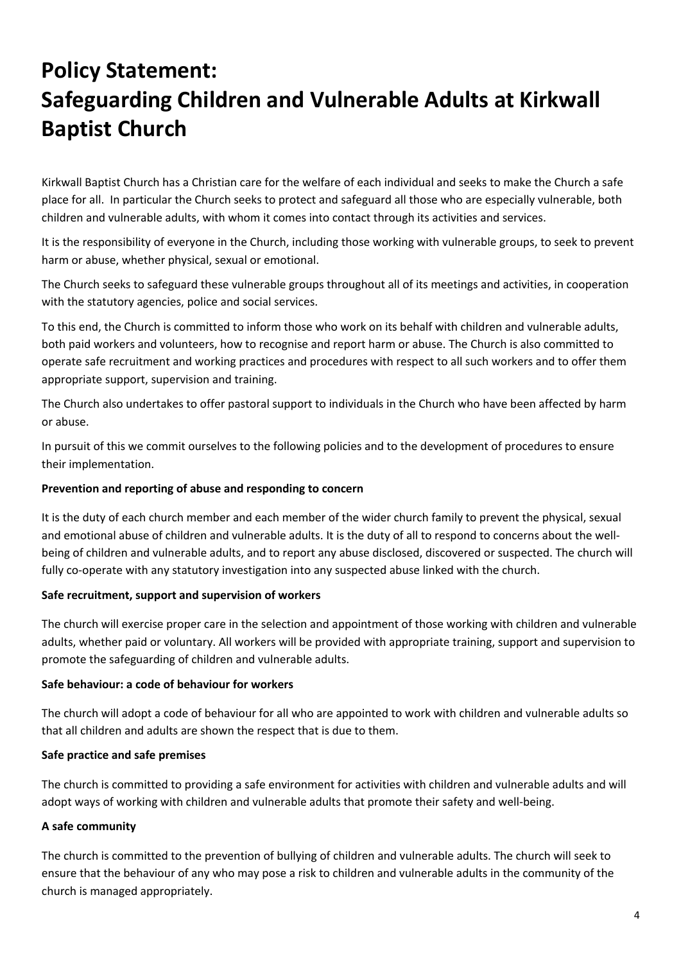# **Policy Statement: Safeguarding Children and Vulnerable Adults at Kirkwall Baptist Church**

Kirkwall Baptist Church has a Christian care for the welfare of each individual and seeks to make the Church a safe place for all. In particular the Church seeks to protect and safeguard all those who are especially vulnerable, both children and vulnerable adults, with whom it comes into contact through its activities and services.

It is the responsibility of everyone in the Church, including those working with vulnerable groups, to seek to prevent harm or abuse, whether physical, sexual or emotional.

The Church seeks to safeguard these vulnerable groups throughout all of its meetings and activities, in cooperation with the statutory agencies, police and social services.

To this end, the Church is committed to inform those who work on its behalf with children and vulnerable adults, both paid workers and volunteers, how to recognise and report harm or abuse. The Church is also committed to operate safe recruitment and working practices and procedures with respect to all such workers and to offer them appropriate support, supervision and training.

The Church also undertakes to offer pastoral support to individuals in the Church who have been affected by harm or abuse.

In pursuit of this we commit ourselves to the following policies and to the development of procedures to ensure their implementation.

## **Prevention and reporting of abuse and responding to concern**

It is the duty of each church member and each member of the wider church family to prevent the physical, sexual and emotional abuse of children and vulnerable adults. It is the duty of all to respond to concerns about the wellbeing of children and vulnerable adults, and to report any abuse disclosed, discovered or suspected. The church will fully co-operate with any statutory investigation into any suspected abuse linked with the church.

## **Safe recruitment, support and supervision of workers**

The church will exercise proper care in the selection and appointment of those working with children and vulnerable adults, whether paid or voluntary. All workers will be provided with appropriate training, support and supervision to promote the safeguarding of children and vulnerable adults.

## **Safe behaviour: a code of behaviour for workers**

The church will adopt a code of behaviour for all who are appointed to work with children and vulnerable adults so that all children and adults are shown the respect that is due to them.

## **Safe practice and safe premises**

The church is committed to providing a safe environment for activities with children and vulnerable adults and will adopt ways of working with children and vulnerable adults that promote their safety and well-being.

## **A safe community**

The church is committed to the prevention of bullying of children and vulnerable adults. The church will seek to ensure that the behaviour of any who may pose a risk to children and vulnerable adults in the community of the church is managed appropriately.